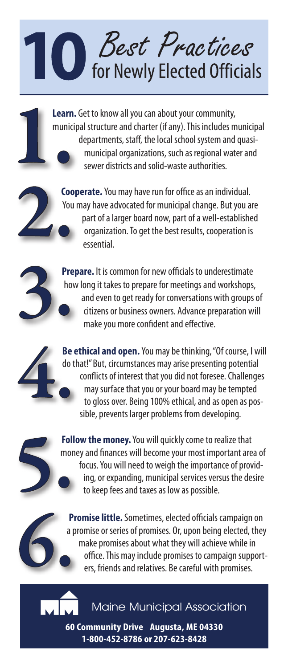## **O** *Best Practices*<br>for Newly Elected Officials

**Learn.** Get to know all you can about your community, municipal structure and charter (if any). This includes municipal departments, staff, the local school system and quasimunicipal organizations, such as regional water and sewer districts and solid-waste authorities.

**Cooperate.** You may have run for office as an individual. You may have advocated for municipal change. But you are part of a larger board now, part of a well-established organization. To get the best results, cooperation is essential.

**Prepare.** It is common for new officials to underestimate how long it takes to prepare for meetings and workshops, and even to get ready for conversations with groups of citizens or business owners. Advance preparation will make you more confident and effective.

**Be ethical and open.**You may be thinking, "Of course, I will do that!" But, circumstances may arise presenting potential conflicts of interest that you did not foresee. Challenges may surface that you or your board may be tempted to gloss over. Being 100% ethical, and as open as possible, prevents larger problems from developing.

**Follow the money.**You will quickly come to realize that money and finances will become your most important area of focus. You will need to weigh the importance of providing, or expanding, municipal services versus the desire to keep fees and taxes as low as possible.

**Promise little.** Sometimes, elected officials campaign on a promise or series of promises. Or, upon being elected, they make promises about what they will achieve while in office. This may include promises to campaign supporters, friends and relatives. Be careful with promises.



**60 Community Drive • Augusta, ME 04330 1-800-452-8786 or 207-623-8428**